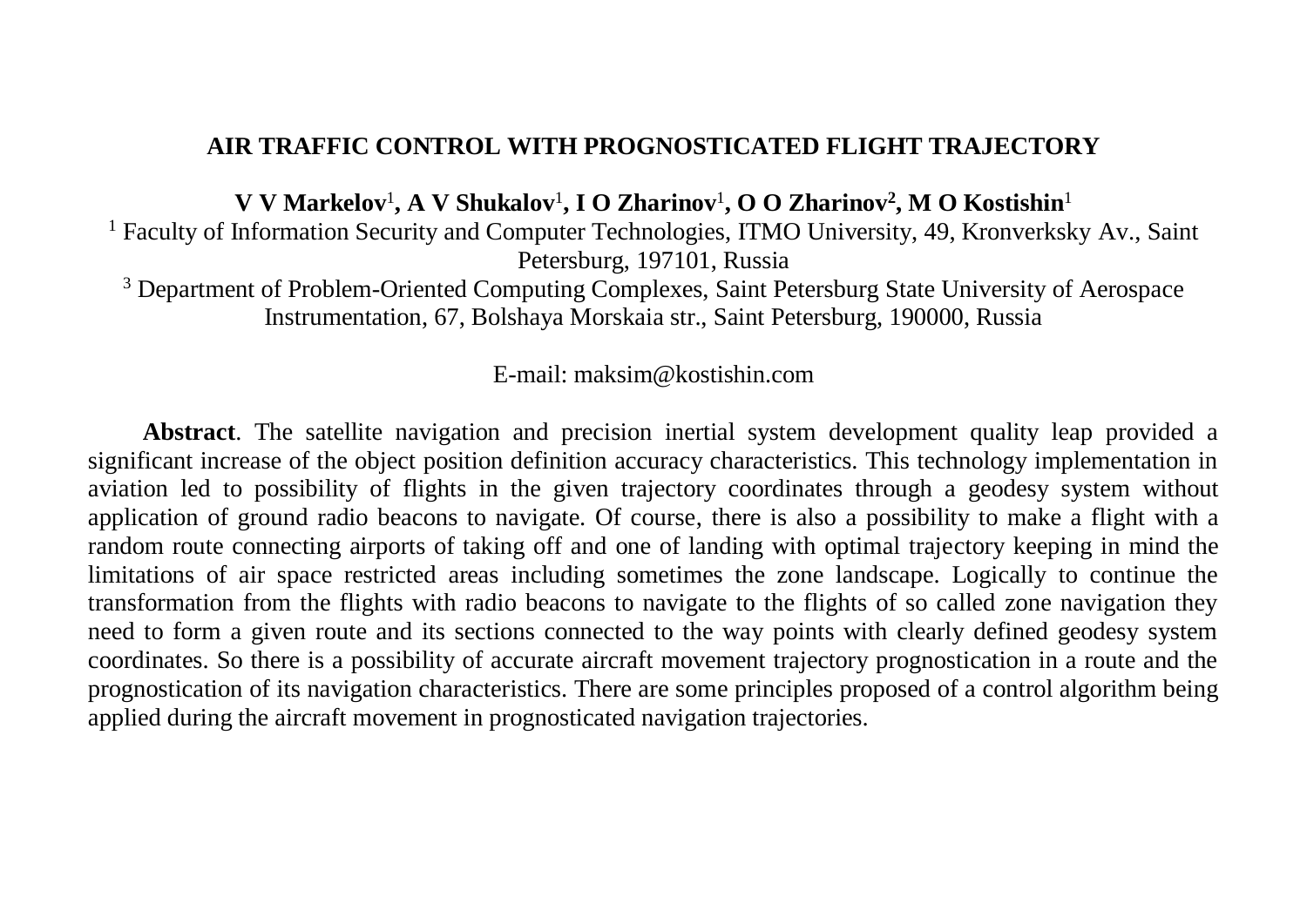## **AIR TRAFFIC CONTROL WITH PROGNOSTICATED FLIGHT TRAJECTORY**

**V V Markelov**<sup>1</sup> **, A V Shukalov**<sup>1</sup> **, I O Zharinov**<sup>1</sup> **, O O Zharinov<sup>2</sup> , M O Kostishin**<sup>1</sup>

<sup>1</sup> Faculty of Information Security and Computer Technologies, ITMO University, 49, Kronverksky Av., Saint Petersburg, 197101, Russia

<sup>3</sup> Department of Problem-Oriented Computing Complexes, Saint Petersburg State University of Aerospace Instrumentation, 67, Bolshaya Morskaia str., Saint Petersburg, 190000, Russia

## E-mail: maksim@kostishin.com

**Abstract**. The satellite navigation and precision inertial system development quality leap provided a significant increase of the object position definition accuracy characteristics. This technology implementation in aviation led to possibility of flights in the given trajectory coordinates through a geodesy system without application of ground radio beacons to navigate. Of course, there is also a possibility to make a flight with a random route connecting airports of taking off and one of landing with optimal trajectory keeping in mind the limitations of air space restricted areas including sometimes the zone landscape. Logically to continue the transformation from the flights with radio beacons to navigate to the flights of so called zone navigation they need to form a given route and its sections connected to the way points with clearly defined geodesy system coordinates. So there is a possibility of accurate aircraft movement trajectory prognostication in a route and the prognostication of its navigation characteristics. There are some principles proposed of a control algorithm being applied during the aircraft movement in prognosticated navigation trajectories.